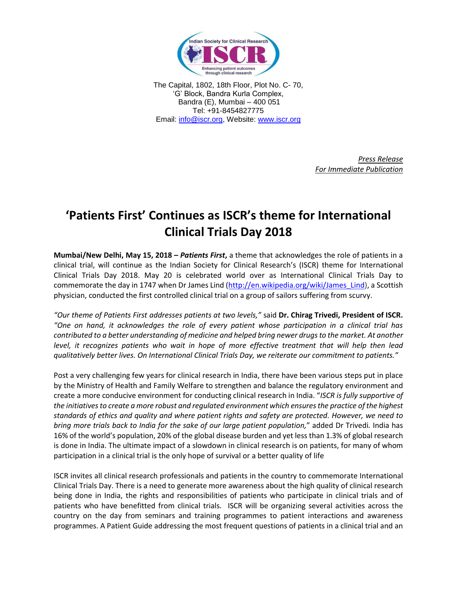

The Capital, 1802, 18th Floor, Plot No. C- 70, 'G' Block, Bandra Kurla Complex, Bandra (E), Mumbai – 400 051 Tel: +91-8454827775 Email: [info@iscr.org,](mailto:info@iscr.org) Website: www.iscr.org

> *Press Release For Immediate Publication*

## **'Patients First' Continues as ISCR's theme for International Clinical Trials Day 2018**

**Mumbai/New Delhi, May 15, 2018 –** *Patients First***,** a theme that acknowledges the role of patients in a clinical trial, will continue as the Indian Society for Clinical Research's (ISCR) theme for International Clinical Trials Day 2018. May 20 is celebrated world over as International Clinical Trials Day to commemorate the day in 1747 when Dr James Lind [\(http://en.wikipedia.org/wiki/James\\_Lind\)](http://en.wikipedia.org/wiki/James_Lind), a Scottish physician, conducted the first controlled clinical trial on a group of sailors suffering from scurvy.

*"Our theme of Patients First addresses patients at two levels,"* said **Dr. Chirag Trivedi, President of ISCR.** *"One on hand, it acknowledges the role of every patient whose participation in a clinical trial has contributed to a better understanding of medicine and helped bring newer drugs to the market. At another level, it recognizes patients who wait in hope of more effective treatment that will help then lead qualitatively better lives. On International Clinical Trials Day, we reiterate our commitment to patients."*

Post a very challenging few years for clinical research in India, there have been various steps put in place by the Ministry of Health and Family Welfare to strengthen and balance the regulatory environment and create a more conducive environment for conducting clinical research in India. "*ISCR is fully supportive of the initiatives to create a more robust and regulated environment which ensures the practice of the highest standards of ethics and quality and where patient rights and safety are protected. However, we need to bring more trials back to India for the sake of our large patient population,*" added Dr Trivedi*.* India has 16% of the world's population, 20% of the global disease burden and yet less than 1.3% of global research is done in India. The ultimate impact of a slowdown in clinical research is on patients, for many of whom participation in a clinical trial is the only hope of survival or a better quality of life

ISCR invites all clinical research professionals and patients in the country to commemorate International Clinical Trials Day. There is a need to generate more awareness about the high quality of clinical research being done in India, the rights and responsibilities of patients who participate in clinical trials and of patients who have benefitted from clinical trials*.* ISCR will be organizing several activities across the country on the day from seminars and training programmes to patient interactions and awareness programmes. A Patient Guide addressing the most frequent questions of patients in a clinical trial and an